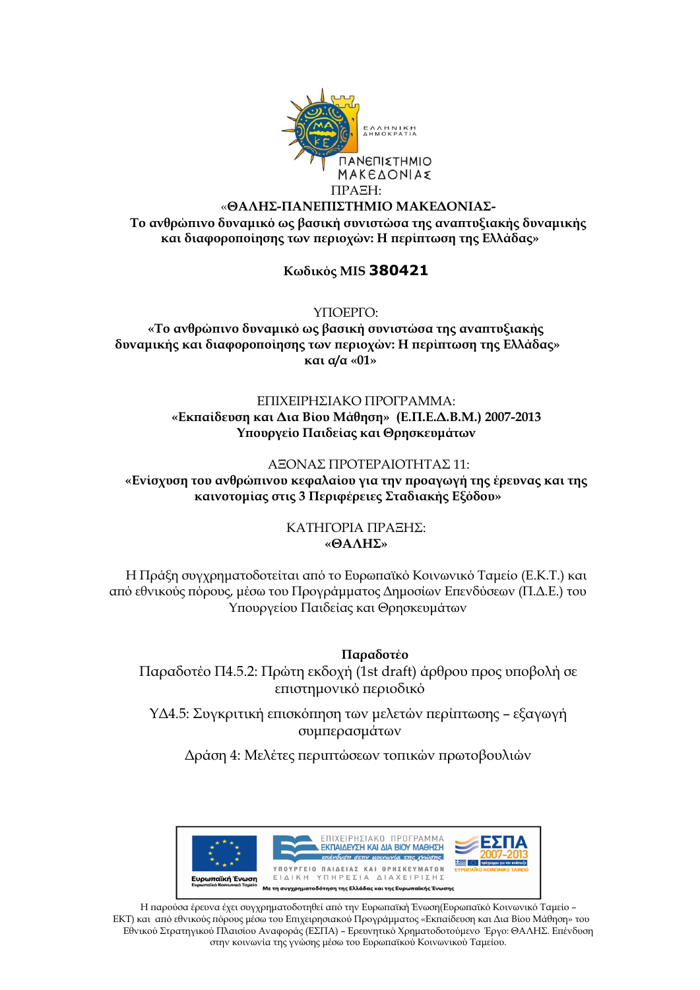

## «**ΘΑΛΗΣ-ΠΑΝΕΠΙΣΤΗΜΙΟ ΜΑΚΕΔΟΝΙΑΣ-**

**Το ανθρώπινο δυναμικό ως βασική συνιστώσα της αναπτυξιακής δυναμικής και διαφοροποίησης των περιοχών: Η περίπτωση της Ελλάδας»**

## **Κωδικός MIS 380421**

ΥΠΟΕΡΓΟ:

**«Το ανθρώπινο δυναμικό ως βασική συνιστώσα της αναπτυξιακής δυναμικής και διαφοροποίησης των περιοχών: Η περίπτωση της Ελλάδας» και α/α «01»**

## ΕΠΙΧΕΙΡΗΣΙΑΚΟ ΠΡΟΓΡΑΜΜΑ: **«Εκπαίδευση και Δια Βίου Μάθηση» (Ε.Π.Ε.Δ.Β.Μ.) 2007-2013 Υπουργείο Παιδείας και Θρησκευμάτων**

#### ΑΞΟΝΑΣ ΠΡΟΤΕΡΑΙΟΤΗΤΑΣ 11:

**«Ενίσχυση του ανθρώπινου κεφαλαίου για την προαγωγή της έρευνας και της καινοτομίας στις 3 Περιφέρειες Σταδιακής Εξόδου»**

## ΚΑΤΗΓΟΡΙΑ ΠΡΑΞΗΣ: **«ΘΑΛΗΣ»**

Η Πράξη συγχρηματοδοτείται από το Ευρωπαϊκό Κοινωνικό Ταμείο (Ε.Κ.Τ.) και από εθνικούς πόρους, μέσω του Προγράμματος Δημοσίων Επενδύσεων (Π.Δ.Ε.) του Υπουργείου Παιδείας και Θρησκευμάτων

**Παραδοτέο**  Παραδοτέο Π4.5.2: Πρώτη εκδοχή (1st draft) άρθρου προς υποβολή σε επιστημονικό περιοδικό

ΥΔ4.5: Συγκριτική επισκόπηση των μελετών περίπτωσης – εξαγωγή συμπερασμάτων

Δράση 4: Μελέτες περιπτώσεων τοπικών πρωτοβουλιών



Η παρούσα έρευνα έχει συγχρηματοδοτηθεί από την Ευρωπαϊκή Ένωση(Ευρωπαϊκό Κοινωνικό Ταμείο – ΕΚΤ) και από εθνικούς πόρους μέσω του Επιχειρησιακού Προγράμματος «Εκπαίδευση και Δια Βίου Μάθηση» του Εθνικού Στρατηγικού Πλαισίου Αναφοράς (ΕΣΠΑ) – Ερευνητικό Χρηματοδοτούμενο Έργο: ΘΑΛΗΣ. Επένδυση στην κοινωνία της γνώσης μέσω του Ευρωπαϊκού Κοινωνικού Ταμείου.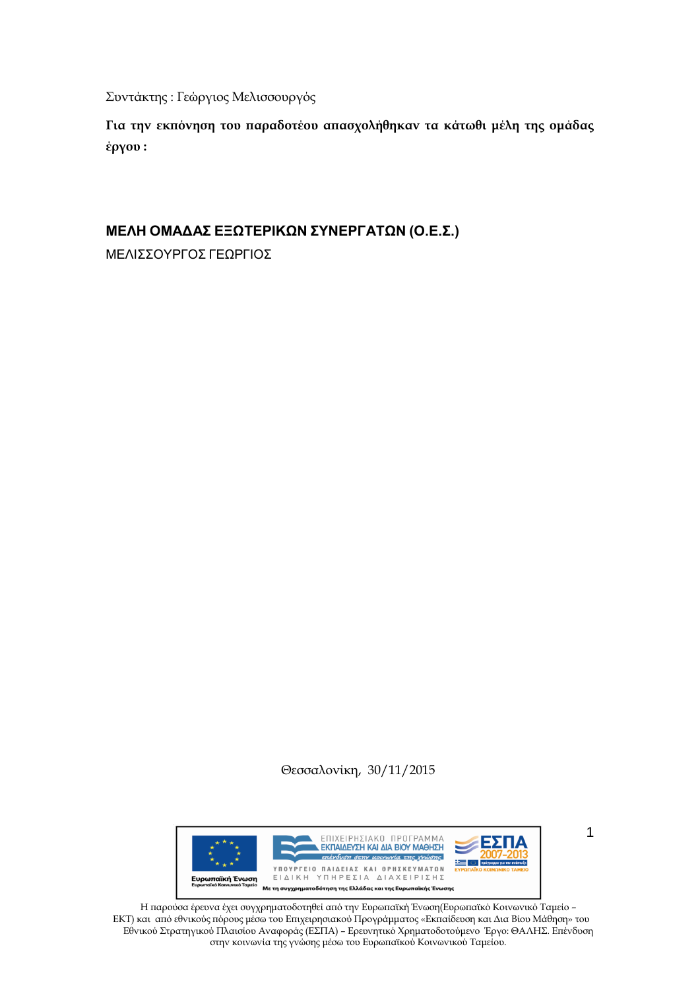Συντάκτης : Γεώργιος Μελισσουργός

**Για την εκπόνηση του παραδοτέου απασχολήθηκαν τα κάτωθι μέλη της ομάδας έργου :**

# **ΜΕΛΗ ΟΜΑΔΑΣ ΕΞΩΤΕΡΙΚΩΝ ΣΥΝΕΡΓΑΤΩΝ (Ο.Ε.Σ.)**

ΜΕΛΙΣΣΟΥΡΓΟΣ ΓΕΩΡΓΙΟΣ

Θεσσαλονίκη, 30/11/2015



1

Η παρούσα έρευνα έχει συγχρηματοδοτηθεί από την Ευρωπαϊκή Ένωση(Ευρωπαϊκό Κοινωνικό Ταμείο – ΕΚΤ) και από εθνικούς πόρους μέσω του Επιχειρησιακού Προγράμματος «Εκπαίδευση και Δια Βίου Μάθηση» του Εθνικού Στρατηγικού Πλαισίου Αναφοράς (ΕΣΠΑ) – Ερευνητικό Χρηματοδοτούμενο Έργο: ΘΑΛΗΣ. Επένδυση στην κοινωνία της γνώσης μέσω του Ευρωπαϊκού Κοινωνικού Ταμείου.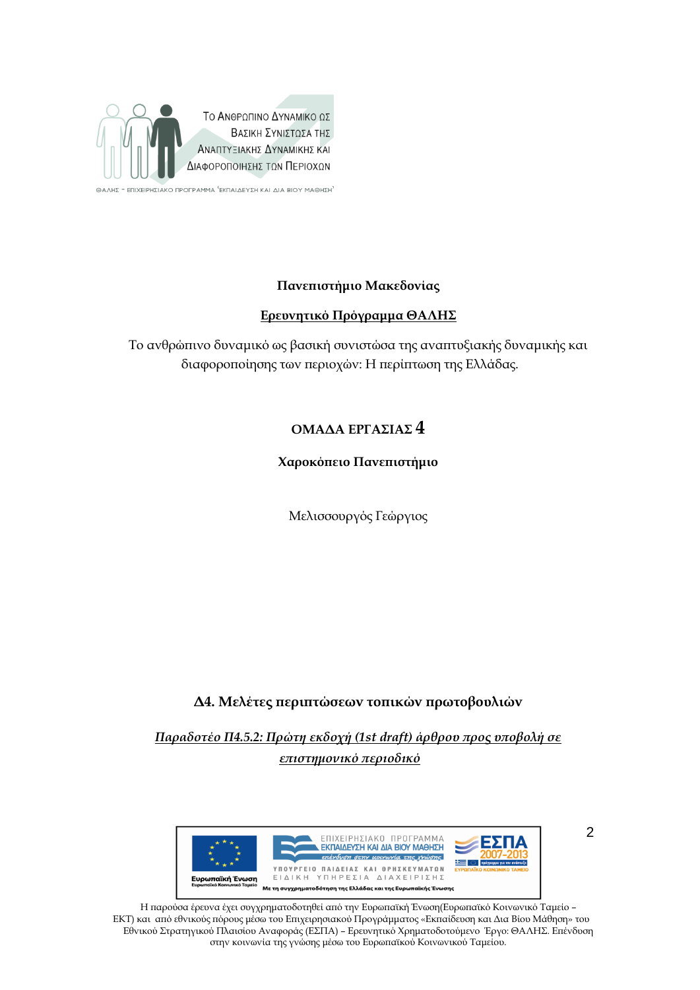

ΘΑΛΗΣ - ΕΠΙΧΕΙΡΗΣΙΑΚΟ ΠΡΟΓΡΑΜΜΑ 'ΕΚΠΑΙΔΕΥΣΗ ΚΑΙ ΔΙΑ ΒΙΟΥ ΜΑΘΗΣΗ'

## **Πανεπιστήμιο Μακεδονίας**

## **Ερευνητικό Πρόγραμμα ΘΑΛΗΣ**

Το ανθρώπινο δυναμικό ως βασική συνιστώσα της αναπτυξιακής δυναμικής και διαφοροποίησης των περιοχών: Η περίπτωση της Ελλάδας.

# **ΟΜΑΔΑ ΕΡΓΑΣΙΑΣ 4**

## **Χαροκόπειο Πανεπιστήμιο**

Μελισσουργός Γεώργιος

# **Δ4. Μελέτες περιπτώσεων τοπικών πρωτοβουλιών**

*Παραδοτέο Π4.5.2: Πρώτη εκδοχή (1st draft) άρθρου προς υποβολή σε επιστημονικό περιοδικό*



Η παρούσα έρευνα έχει συγχρηματοδοτηθεί από την Ευρωπαϊκή Ένωση(Ευρωπαϊκό Κοινωνικό Ταμείο – ΕΚΤ) και από εθνικούς πόρους μέσω του Επιχειρησιακού Προγράμματος «Εκπαίδευση και Δια Βίου Μάθηση» του Εθνικού Στρατηγικού Πλαισίου Αναφοράς (ΕΣΠΑ) – Ερευνητικό Χρηματοδοτούμενο Έργο: ΘΑΛΗΣ. Επένδυση στην κοινωνία της γνώσης μέσω του Ευρωπαϊκού Κοινωνικού Ταμείου.

 $\overline{2}$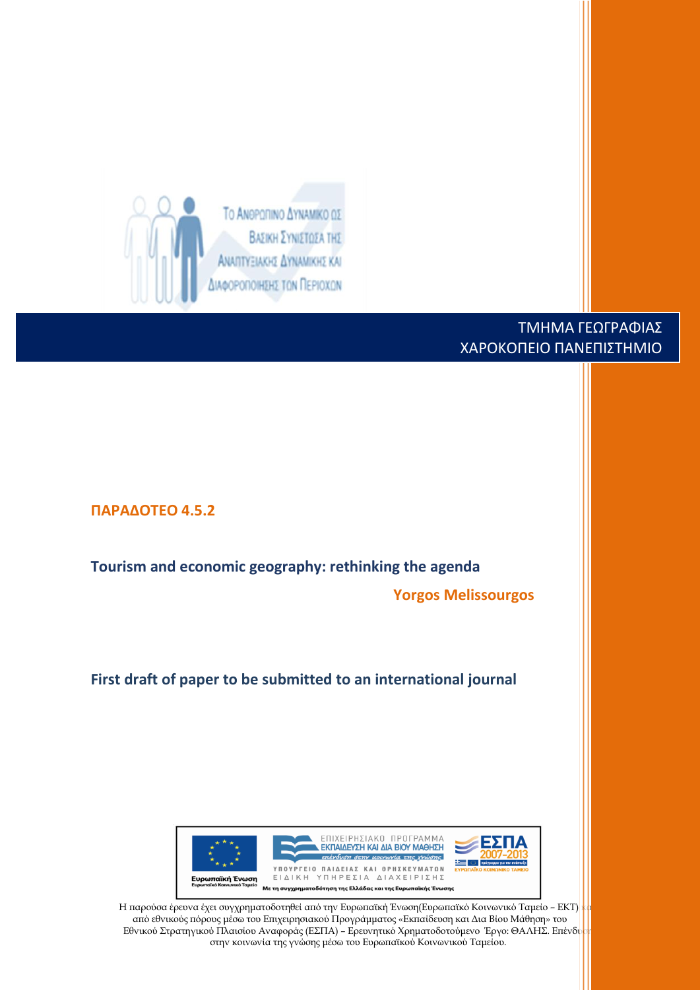

# ΤΜΗΜA ΓΕΩΓΡΑΦΙΑΣ ΧΑΡΟΚΟΠΕΙΟ ΠΑΝΕΠΙΣΤΗΜΙΟ

**ΠΑΡΑΔΟΤΕΟ 4.5.2 Tourism and economic geography: rethinking the agenda Yorgos Melissourgos First draft of paper to be submitted to an international journal** ΕΠΙΧΕΙΡΗΣΙΑΚΟ ΠΡΟΓΡΑΜΜΑ ΕΚΠΑΙΔΕΥΣΗ ΚΑΙ ΔΙΑ ΒΙΟΥ ΜΑΘΗΣΗ επένδυση στην μοινωνία της χνώσης 里 ΥΠΟΥΡΓΕΙΟ ΠΑΙΔΕΙΑΣ ΚΑΙ ΘΡΗΣΚΕΥΜΑΤΩΝ ΕΙΔΙΚΗ ΥΠΗΡΕΣΙΑ ΔΙΑΧΕΙΡΙΣΗΣ Με τη συγχρηματοδότηση της Ελλάδας και της Ευρωπαϊκής Ένωσης Η παρούσα έρευνα έχει συγχρηματοδοτηθεί από την Ευρωπαϊκή Ένωση(Ευρωπαϊκό Κοινωνικό Ταμείο - ΕΚΤ) από εθνικούς πόρους μέσω του Επιχειρησιακού Προγράμματος «Εκπαίδευση και Δια Βίου Μάθηση» του

Εθνικού Στρατηγικού Πλαισίου Αναφοράς (ΕΣΠΑ) - Ερευνητικό Χρηματοδοτούμενο Έργο: ΘΑΛΗΣ. Επένδυ στην κοινωνία της γνώσης μέσω του Ευρωπαϊκού Κοινωνικού Ταμείου.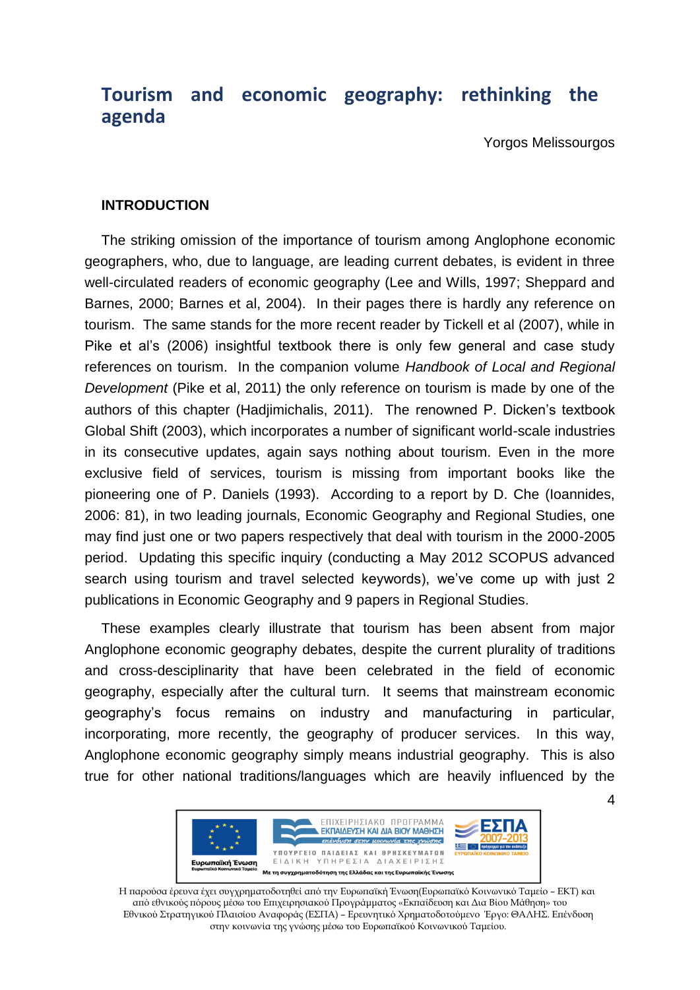# **Tourism and economic geography: rethinking the agenda**

Yorgos Melissourgos

## **INTRODUCTION**

The striking omission of the importance of tourism among Anglophone economic geographers, who, due to language, are leading current debates, is evident in three well-circulated readers of economic geography (Lee and Wills, 1997; Sheppard and Barnes, 2000; Barnes et al, 2004). In their pages there is hardly any reference on tourism. The same stands for the more recent reader by Tickell et al (2007), while in Pike et al's (2006) insightful textbook there is only few general and case study references on tourism. In the companion volume *Handbook of Local and Regional Development* (Pike et al, 2011) the only reference on tourism is made by one of the authors of this chapter (Hadjimichalis, 2011). The renowned P. Dicken's textbook Global Shift (2003), which incorporates a number of significant world-scale industries in its consecutive updates, again says nothing about tourism. Even in the more exclusive field of services, tourism is missing from important books like the pioneering one of P. Daniels (1993). According to a report by D. Che (Ioannides, 2006: 81), in two leading journals, Economic Geography and Regional Studies, one may find just one or two papers respectively that deal with tourism in the 2000-2005 period. Updating this specific inquiry (conducting a May 2012 SCOPUS advanced search using tourism and travel selected keywords), we've come up with just 2 publications in Economic Geography and 9 papers in Regional Studies.

These examples clearly illustrate that tourism has been absent from major Anglophone economic geography debates, despite the current plurality of traditions and cross-desciplinarity that have been celebrated in the field of economic geography, especially after the cultural turn. It seems that mainstream economic geography's focus remains on industry and manufacturing in particular, incorporating, more recently, the geography of producer services. In this way, Anglophone economic geography simply means industrial geography. This is also true for other national traditions/languages which are heavily influenced by the



Η παρούσα έρευνα έχει συγχρηματοδοτηθεί από την Ευρωπαϊκή Ένωση(Ευρωπαϊκό Κοινωνικό Ταμείο – ΕΚΤ) και από εθνικούς πόρους μέσω του Επιχειρησιακού Προγράμματος «Εκπαίδευση και Δια Βίου Μάθηση» του Εθνικού Στρατηγικού Πλαισίου Αναφοράς (ΕΣΠΑ) – Ερευνητικό Χρηματοδοτούμενο Έργο: ΘΑΛΗΣ. Επένδυση στην κοινωνία της γνώσης μέσω του Ευρωπαϊκού Κοινωνικού Ταμείου.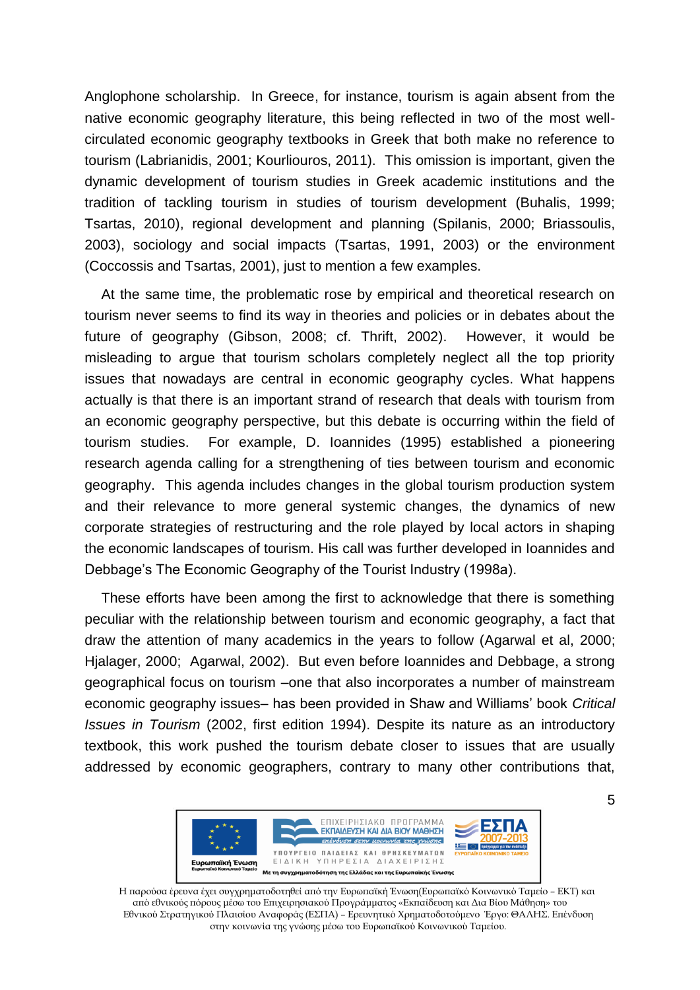Anglophone scholarship. In Greece, for instance, tourism is again absent from the native economic geography literature, this being reflected in two of the most wellcirculated economic geography textbooks in Greek that both make no reference to tourism (Labrianidis, 2001; Kourliouros, 2011). This omission is important, given the dynamic development of tourism studies in Greek academic institutions and the tradition of tackling tourism in studies of tourism development (Buhalis, 1999; Tsartas, 2010), regional development and planning (Spilanis, 2000; Briassoulis, 2003), sociology and social impacts (Tsartas, 1991, 2003) or the environment (Coccossis and Tsartas, 2001), just to mention a few examples.

At the same time, the problematic rose by empirical and theoretical research on tourism never seems to find its way in theories and policies or in debates about the future of geography (Gibson, 2008; cf. Thrift, 2002). However, it would be misleading to argue that tourism scholars completely neglect all the top priority issues that nowadays are central in economic geography cycles. What happens actually is that there is an important strand of research that deals with tourism from an economic geography perspective, but this debate is occurring within the field of tourism studies. For example, D. Ioannides (1995) established a pioneering research agenda calling for a strengthening of ties between tourism and economic geography. This agenda includes changes in the global tourism production system and their relevance to more general systemic changes, the dynamics of new corporate strategies of restructuring and the role played by local actors in shaping the economic landscapes of tourism. His call was further developed in Ioannides and Debbage's The Economic Geography of the Tourist Industry (1998a).

These efforts have been among the first to acknowledge that there is something peculiar with the relationship between tourism and economic geography, a fact that draw the attention of many academics in the years to follow (Agarwal et al, 2000; Hjalager, 2000; Agarwal, 2002). But even before Ioannides and Debbage, a strong geographical focus on tourism –one that also incorporates a number of mainstream economic geography issues– has been provided in Shaw and Williams' book *Critical Issues in Tourism* (2002, first edition 1994). Despite its nature as an introductory textbook, this work pushed the tourism debate closer to issues that are usually addressed by economic geographers, contrary to many other contributions that,



Η παρούσα έρευνα έχει συγχρηματοδοτηθεί από την Ευρωπαϊκή Ένωση(Ευρωπαϊκό Κοινωνικό Ταμείο – ΕΚΤ) και από εθνικούς πόρους μέσω του Επιχειρησιακού Προγράμματος «Εκπαίδευση και Δια Βίου Μάθηση» του Εθνικού Στρατηγικού Πλαισίου Αναφοράς (ΕΣΠΑ) – Ερευνητικό Χρηματοδοτούμενο Έργο: ΘΑΛΗΣ. Επένδυση στην κοινωνία της γνώσης μέσω του Ευρωπαϊκού Κοινωνικού Ταμείου.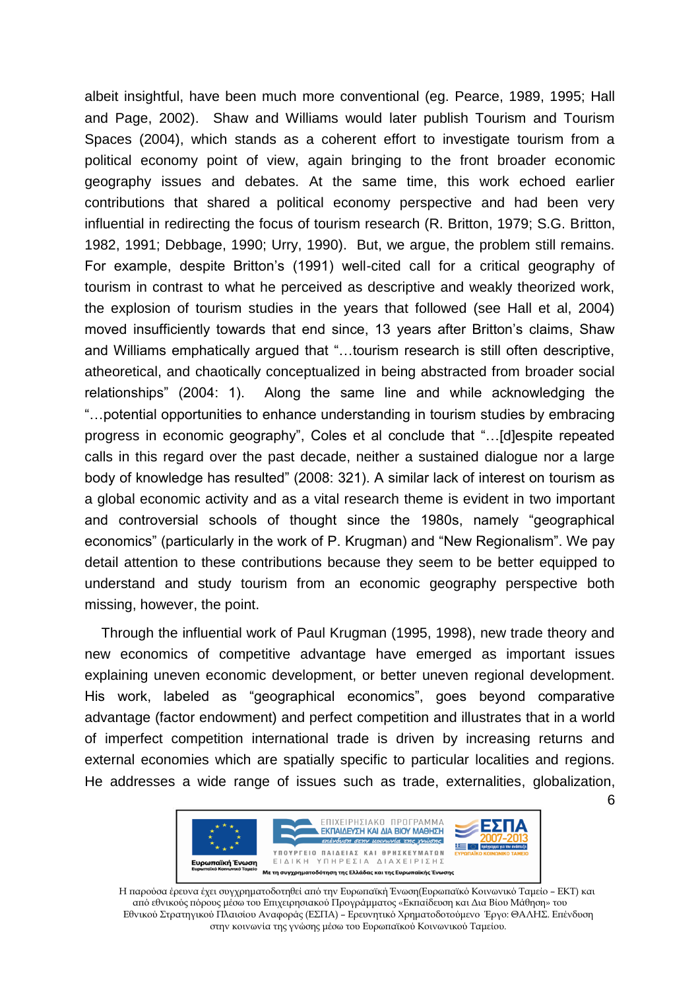albeit insightful, have been much more conventional (eg. Pearce, 1989, 1995; Hall and Page, 2002). Shaw and Williams would later publish Tourism and Tourism Spaces (2004), which stands as a coherent effort to investigate tourism from a political economy point of view, again bringing to the front broader economic geography issues and debates. At the same time, this work echoed earlier contributions that shared a political economy perspective and had been very influential in redirecting the focus of tourism research (R. Britton, 1979; S.G. Britton, 1982, 1991; Debbage, 1990; Urry, 1990). But, we argue, the problem still remains. For example, despite Britton's (1991) well-cited call for a critical geography of tourism in contrast to what he perceived as descriptive and weakly theorized work, the explosion of tourism studies in the years that followed (see Hall et al, 2004) moved insufficiently towards that end since, 13 years after Britton's claims, Shaw and Williams emphatically argued that "…tourism research is still often descriptive, atheoretical, and chaotically conceptualized in being abstracted from broader social relationships" (2004: 1). Along the same line and while acknowledging the "…potential opportunities to enhance understanding in tourism studies by embracing progress in economic geography", Coles et al conclude that "…[d]espite repeated calls in this regard over the past decade, neither a sustained dialogue nor a large body of knowledge has resulted" (2008: 321). A similar lack of interest on tourism as a global economic activity and as a vital research theme is evident in two important and controversial schools of thought since the 1980s, namely "geographical economics" (particularly in the work of P. Krugman) and "New Regionalism". We pay detail attention to these contributions because they seem to be better equipped to understand and study tourism from an economic geography perspective both missing, however, the point.

Through the influential work of Paul Krugman (1995, 1998), new trade theory and new economics of competitive advantage have emerged as important issues explaining uneven economic development, or better uneven regional development. His work, labeled as "geographical economics", goes beyond comparative advantage (factor endowment) and perfect competition and illustrates that in a world of imperfect competition international trade is driven by increasing returns and external economies which are spatially specific to particular localities and regions. He addresses a wide range of issues such as trade, externalities, globalization,



Η παρούσα έρευνα έχει συγχρηματοδοτηθεί από την Ευρωπαϊκή Ένωση(Ευρωπαϊκό Κοινωνικό Ταμείο – ΕΚΤ) και από εθνικούς πόρους μέσω του Επιχειρησιακού Προγράμματος «Εκπαίδευση και Δια Βίου Μάθηση» του Εθνικού Στρατηγικού Πλαισίου Αναφοράς (ΕΣΠΑ) – Ερευνητικό Χρηματοδοτούμενο Έργο: ΘΑΛΗΣ. Επένδυση στην κοινωνία της γνώσης μέσω του Ευρωπαϊκού Κοινωνικού Ταμείου.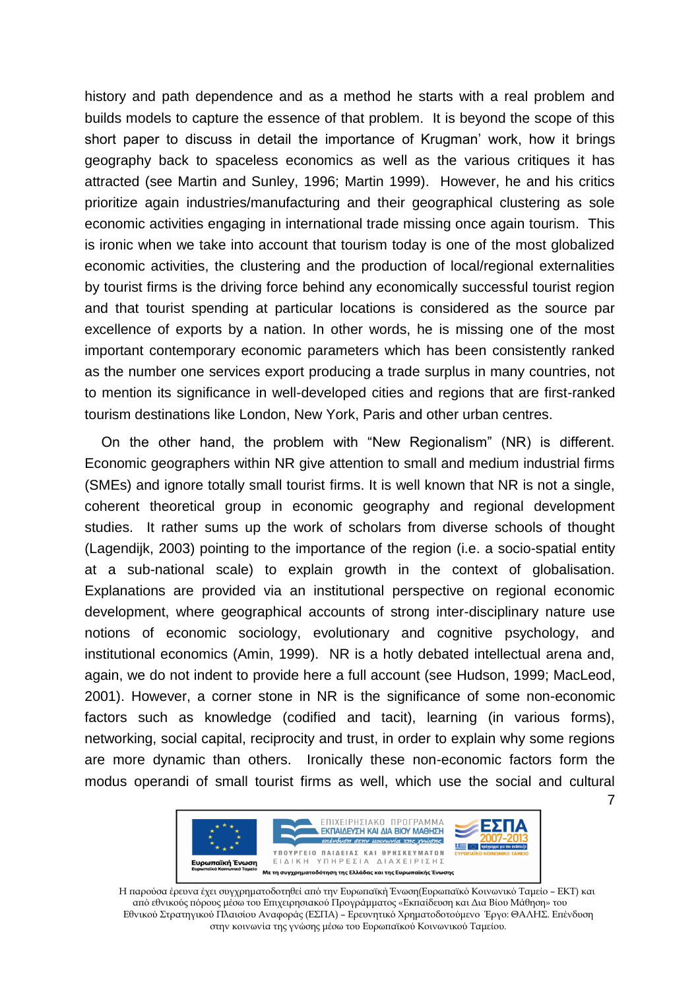history and path dependence and as a method he starts with a real problem and builds models to capture the essence of that problem. It is beyond the scope of this short paper to discuss in detail the importance of Krugman' work, how it brings geography back to spaceless economics as well as the various critiques it has attracted (see Martin and Sunley, 1996; Martin 1999). However, he and his critics prioritize again industries/manufacturing and their geographical clustering as sole economic activities engaging in international trade missing once again tourism. This is ironic when we take into account that tourism today is one of the most globalized economic activities, the clustering and the production of local/regional externalities by tourist firms is the driving force behind any economically successful tourist region and that tourist spending at particular locations is considered as the source par excellence of exports by a nation. In other words, he is missing one of the most important contemporary economic parameters which has been consistently ranked as the number one services export producing a trade surplus in many countries, not to mention its significance in well-developed cities and regions that are first-ranked tourism destinations like London, New York, Paris and other urban centres.

7 On the other hand, the problem with "New Regionalism" (NR) is different. Economic geographers within NR give attention to small and medium industrial firms (SMEs) and ignore totally small tourist firms. It is well known that NR is not a single, coherent theoretical group in economic geography and regional development studies. It rather sums up the work of scholars from diverse schools of thought (Lagendijk, 2003) pointing to the importance of the region (i.e. a socio-spatial entity at a sub-national scale) to explain growth in the context of globalisation. Explanations are provided via an institutional perspective on regional economic development, where geographical accounts of strong inter-disciplinary nature use notions of economic sociology, evolutionary and cognitive psychology, and institutional economics (Amin, 1999). NR is a hotly debated intellectual arena and, again, we do not indent to provide here a full account (see Hudson, 1999; MacLeod, 2001). However, a corner stone in NR is the significance of some non-economic factors such as knowledge (codified and tacit), learning (in various forms), networking, social capital, reciprocity and trust, in order to explain why some regions are more dynamic than others. Ironically these non-economic factors form the modus operandi of small tourist firms as well, which use the social and cultural



Η παρούσα έρευνα έχει συγχρηματοδοτηθεί από την Ευρωπαϊκή Ένωση(Ευρωπαϊκό Κοινωνικό Ταμείο – ΕΚΤ) και από εθνικούς πόρους μέσω του Επιχειρησιακού Προγράμματος «Εκπαίδευση και Δια Βίου Μάθηση» του Εθνικού Στρατηγικού Πλαισίου Αναφοράς (ΕΣΠΑ) – Ερευνητικό Χρηματοδοτούμενο Έργο: ΘΑΛΗΣ. Επένδυση στην κοινωνία της γνώσης μέσω του Ευρωπαϊκού Κοινωνικού Ταμείου.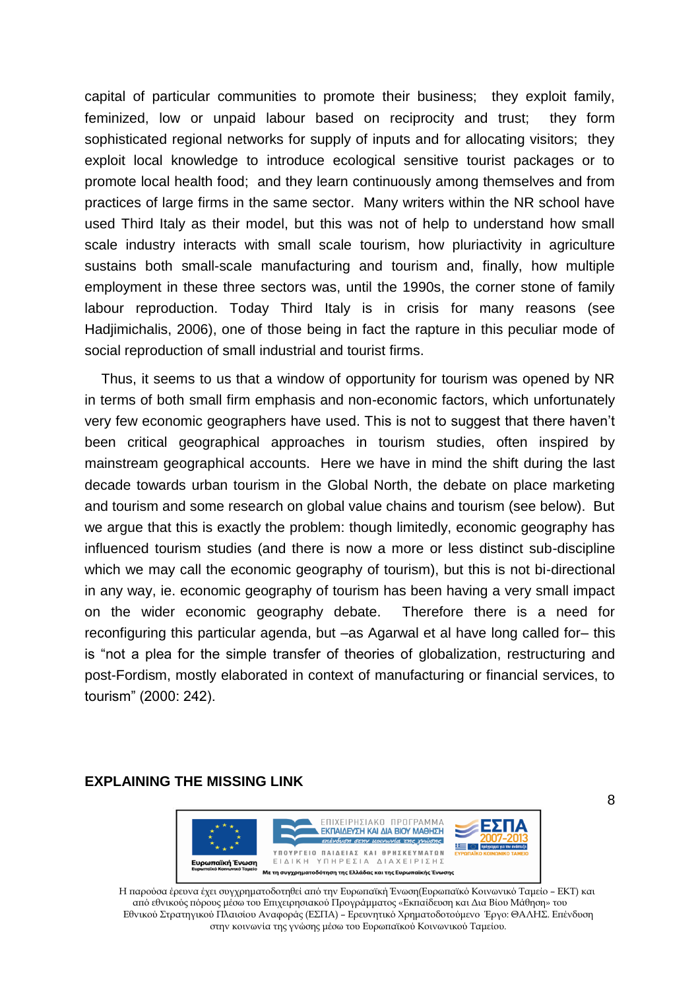capital of particular communities to promote their business; they exploit family, feminized, low or unpaid labour based on reciprocity and trust; they form sophisticated regional networks for supply of inputs and for allocating visitors; they exploit local knowledge to introduce ecological sensitive tourist packages or to promote local health food; and they learn continuously among themselves and from practices of large firms in the same sector. Many writers within the NR school have used Third Italy as their model, but this was not of help to understand how small scale industry interacts with small scale tourism, how pluriactivity in agriculture sustains both small-scale manufacturing and tourism and, finally, how multiple employment in these three sectors was, until the 1990s, the corner stone of family labour reproduction. Today Third Italy is in crisis for many reasons (see Hadjimichalis, 2006), one of those being in fact the rapture in this peculiar mode of social reproduction of small industrial and tourist firms.

Thus, it seems to us that a window of opportunity for tourism was opened by NR in terms of both small firm emphasis and non-economic factors, which unfortunately very few economic geographers have used. This is not to suggest that there haven't been critical geographical approaches in tourism studies, often inspired by mainstream geographical accounts. Here we have in mind the shift during the last decade towards urban tourism in the Global North, the debate on place marketing and tourism and some research on global value chains and tourism (see below). But we argue that this is exactly the problem: though limitedly, economic geography has influenced tourism studies (and there is now a more or less distinct sub-discipline which we may call the economic geography of tourism), but this is not bi-directional in any way, ie. economic geography of tourism has been having a very small impact on the wider economic geography debate. Therefore there is a need for reconfiguring this particular agenda, but –as Agarwal et al have long called for– this is "not a plea for the simple transfer of theories of globalization, restructuring and post-Fordism, mostly elaborated in context of manufacturing or financial services, to tourism" (2000: 242).

## **EXPLAINING THE MISSING LINK**



Η παρούσα έρευνα έχει συγχρηματοδοτηθεί από την Ευρωπαϊκή Ένωση(Ευρωπαϊκό Κοινωνικό Ταμείο – ΕΚΤ) και από εθνικούς πόρους μέσω του Επιχειρησιακού Προγράμματος «Εκπαίδευση και Δια Βίου Μάθηση» του Εθνικού Στρατηγικού Πλαισίου Αναφοράς (ΕΣΠΑ) – Ερευνητικό Χρηματοδοτούμενο Έργο: ΘΑΛΗΣ. Επένδυση στην κοινωνία της γνώσης μέσω του Ευρωπαϊκού Κοινωνικού Ταμείου.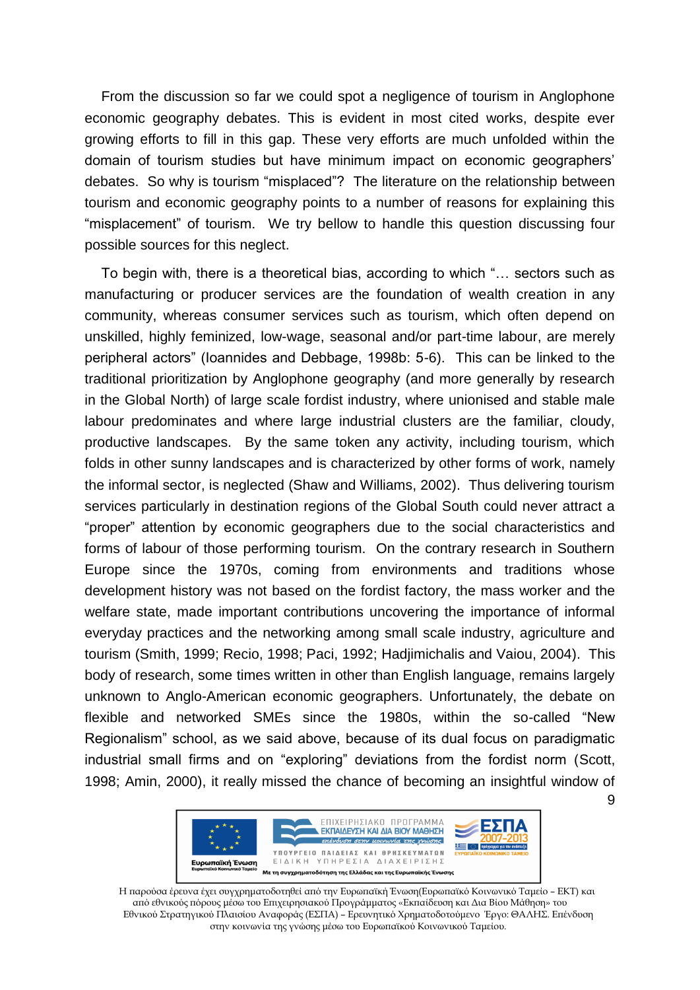From the discussion so far we could spot a negligence of tourism in Anglophone economic geography debates. This is evident in most cited works, despite ever growing efforts to fill in this gap. These very efforts are much unfolded within the domain of tourism studies but have minimum impact on economic geographers' debates. So why is tourism "misplaced"? The literature on the relationship between tourism and economic geography points to a number of reasons for explaining this "misplacement" of tourism. We try bellow to handle this question discussing four possible sources for this neglect.

To begin with, there is a theoretical bias, according to which "… sectors such as manufacturing or producer services are the foundation of wealth creation in any community, whereas consumer services such as tourism, which often depend on unskilled, highly feminized, low-wage, seasonal and/or part-time labour, are merely peripheral actors" (Ioannides and Debbage, 1998b: 5-6). This can be linked to the traditional prioritization by Anglophone geography (and more generally by research in the Global North) of large scale fordist industry, where unionised and stable male labour predominates and where large industrial clusters are the familiar, cloudy, productive landscapes. By the same token any activity, including tourism, which folds in other sunny landscapes and is characterized by other forms of work, namely the informal sector, is neglected (Shaw and Williams, 2002). Thus delivering tourism services particularly in destination regions of the Global South could never attract a "proper" attention by economic geographers due to the social characteristics and forms of labour of those performing tourism. On the contrary research in Southern Europe since the 1970s, coming from environments and traditions whose development history was not based on the fordist factory, the mass worker and the welfare state, made important contributions uncovering the importance of informal everyday practices and the networking among small scale industry, agriculture and tourism (Smith, 1999; Recio, 1998; Paci, 1992; Hadjimichalis and Vaiou, 2004). This body of research, some times written in other than English language, remains largely unknown to Anglo-American economic geographers. Unfortunately, the debate on flexible and networked SMEs since the 1980s, within the so-called "New Regionalism" school, as we said above, because of its dual focus on paradigmatic industrial small firms and on "exploring" deviations from the fordist norm (Scott, 1998; Amin, 2000), it really missed the chance of becoming an insightful window of



Η παρούσα έρευνα έχει συγχρηματοδοτηθεί από την Ευρωπαϊκή Ένωση(Ευρωπαϊκό Κοινωνικό Ταμείο – ΕΚΤ) και από εθνικούς πόρους μέσω του Επιχειρησιακού Προγράμματος «Εκπαίδευση και Δια Βίου Μάθηση» του Εθνικού Στρατηγικού Πλαισίου Αναφοράς (ΕΣΠΑ) – Ερευνητικό Χρηματοδοτούμενο Έργο: ΘΑΛΗΣ. Επένδυση στην κοινωνία της γνώσης μέσω του Ευρωπαϊκού Κοινωνικού Ταμείου.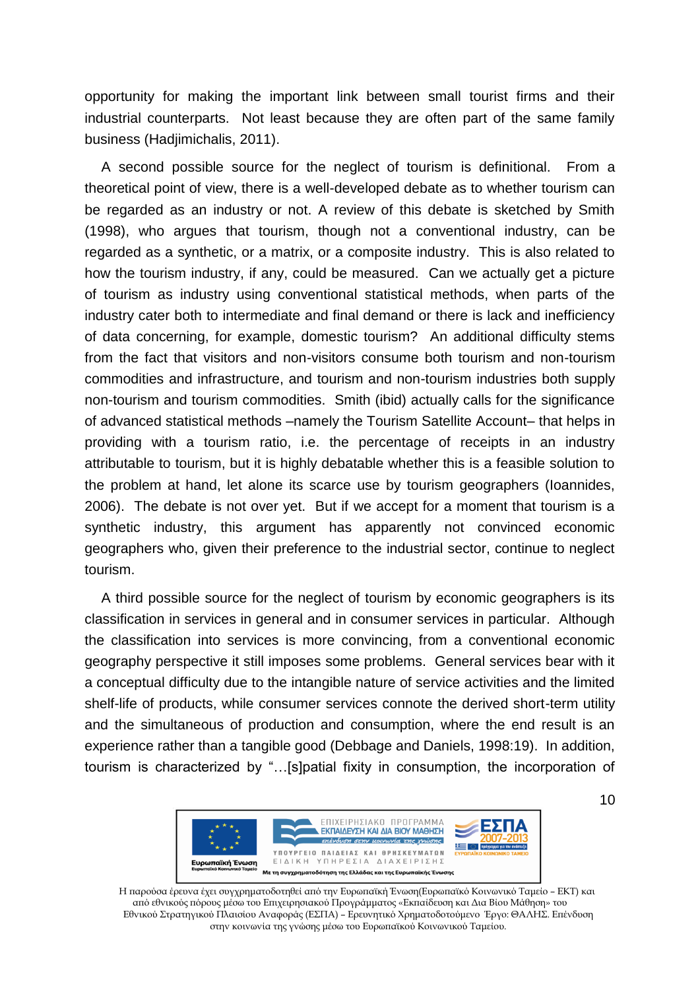opportunity for making the important link between small tourist firms and their industrial counterparts. Not least because they are often part of the same family business (Hadjimichalis, 2011).

A second possible source for the neglect of tourism is definitional. From a theoretical point of view, there is a well-developed debate as to whether tourism can be regarded as an industry or not. A review of this debate is sketched by Smith (1998), who argues that tourism, though not a conventional industry, can be regarded as a synthetic, or a matrix, or a composite industry. This is also related to how the tourism industry, if any, could be measured. Can we actually get a picture of tourism as industry using conventional statistical methods, when parts of the industry cater both to intermediate and final demand or there is lack and inefficiency of data concerning, for example, domestic tourism? An additional difficulty stems from the fact that visitors and non-visitors consume both tourism and non-tourism commodities and infrastructure, and tourism and non-tourism industries both supply non-tourism and tourism commodities. Smith (ibid) actually calls for the significance of advanced statistical methods –namely the Tourism Satellite Account– that helps in providing with a tourism ratio, i.e. the percentage of receipts in an industry attributable to tourism, but it is highly debatable whether this is a feasible solution to the problem at hand, let alone its scarce use by tourism geographers (Ioannides, 2006). The debate is not over yet. But if we accept for a moment that tourism is a synthetic industry, this argument has apparently not convinced economic geographers who, given their preference to the industrial sector, continue to neglect tourism.

A third possible source for the neglect of tourism by economic geographers is its classification in services in general and in consumer services in particular. Although the classification into services is more convincing, from a conventional economic geography perspective it still imposes some problems. General services bear with it a conceptual difficulty due to the intangible nature of service activities and the limited shelf-life of products, while consumer services connote the derived short-term utility and the simultaneous of production and consumption, where the end result is an experience rather than a tangible good (Debbage and Daniels, 1998:19). In addition, tourism is characterized by "…[s]patial fixity in consumption, the incorporation of



Η παρούσα έρευνα έχει συγχρηματοδοτηθεί από την Ευρωπαϊκή Ένωση(Ευρωπαϊκό Κοινωνικό Ταμείο – ΕΚΤ) και από εθνικούς πόρους μέσω του Επιχειρησιακού Προγράμματος «Εκπαίδευση και Δια Βίου Μάθηση» του Εθνικού Στρατηγικού Πλαισίου Αναφοράς (ΕΣΠΑ) – Ερευνητικό Χρηματοδοτούμενο Έργο: ΘΑΛΗΣ. Επένδυση στην κοινωνία της γνώσης μέσω του Ευρωπαϊκού Κοινωνικού Ταμείου.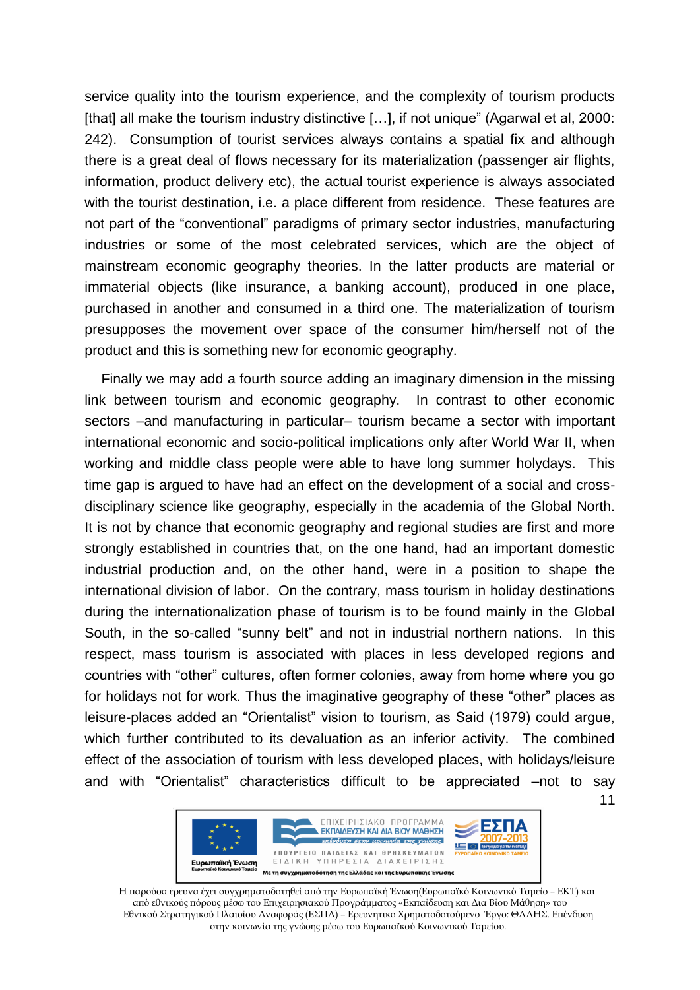service quality into the tourism experience, and the complexity of tourism products [that] all make the tourism industry distinctive [...], if not unique" (Agarwal et al, 2000: 242). Consumption of tourist services always contains a spatial fix and although there is a great deal of flows necessary for its materialization (passenger air flights, information, product delivery etc), the actual tourist experience is always associated with the tourist destination, i.e. a place different from residence. These features are not part of the "conventional" paradigms of primary sector industries, manufacturing industries or some of the most celebrated services, which are the object of mainstream economic geography theories. In the latter products are material or immaterial objects (like insurance, a banking account), produced in one place, purchased in another and consumed in a third one. The materialization of tourism presupposes the movement over space of the consumer him/herself not of the product and this is something new for economic geography.

Finally we may add a fourth source adding an imaginary dimension in the missing link between tourism and economic geography. In contrast to other economic sectors –and manufacturing in particular– tourism became a sector with important international economic and socio-political implications only after World War II, when working and middle class people were able to have long summer holydays. This time gap is argued to have had an effect on the development of a social and crossdisciplinary science like geography, especially in the academia of the Global North. It is not by chance that economic geography and regional studies are first and more strongly established in countries that, on the one hand, had an important domestic industrial production and, on the other hand, were in a position to shape the international division of labor. On the contrary, mass tourism in holiday destinations during the internationalization phase of tourism is to be found mainly in the Global South, in the so-called "sunny belt" and not in industrial northern nations. In this respect, mass tourism is associated with places in less developed regions and countries with "other" cultures, often former colonies, away from home where you go for holidays not for work. Thus the imaginative geography of these "other" places as leisure-places added an "Orientalist" vision to tourism, as Said (1979) could argue, which further contributed to its devaluation as an inferior activity. The combined effect of the association of tourism with less developed places, with holidays/leisure and with "Orientalist" characteristics difficult to be appreciated –not to say

11



Η παρούσα έρευνα έχει συγχρηματοδοτηθεί από την Ευρωπαϊκή Ένωση(Ευρωπαϊκό Κοινωνικό Ταμείο – ΕΚΤ) και από εθνικούς πόρους μέσω του Επιχειρησιακού Προγράμματος «Εκπαίδευση και Δια Βίου Μάθηση» του Εθνικού Στρατηγικού Πλαισίου Αναφοράς (ΕΣΠΑ) – Ερευνητικό Χρηματοδοτούμενο Έργο: ΘΑΛΗΣ. Επένδυση στην κοινωνία της γνώσης μέσω του Ευρωπαϊκού Κοινωνικού Ταμείου.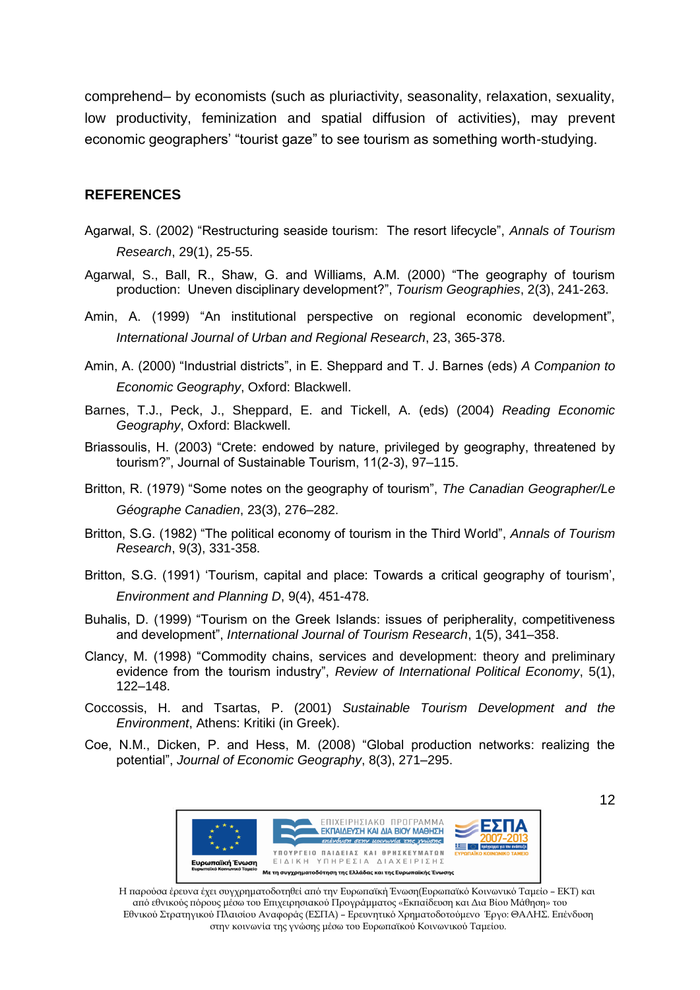comprehend– by economists (such as pluriactivity, seasonality, relaxation, sexuality, low productivity, feminization and spatial diffusion of activities), may prevent economic geographers' "tourist gaze" to see tourism as something worth-studying.

## **REFERENCES**

- Agarwal, S. (2002) "Restructuring seaside tourism: The resort lifecycle", *Annals of Tourism Research*, 29(1), 25-55.
- Agarwal, S., Ball, R., Shaw, G. and Williams, A.M. (2000) "The geography of tourism production: Uneven disciplinary development?", *Tourism Geographies*, 2(3), 241-263.
- Amin, A. (1999) "An institutional perspective on regional economic development", *International Journal of Urban and Regional Research*, 23, 365-378.
- Amin, A. (2000) "Industrial districts", in E. Sheppard and T. J. Barnes (eds) *A Companion to Economic Geography*, Oxford: Blackwell.
- Barnes, T.J., Peck, J., Sheppard, E. and Tickell, A. (eds) (2004) *Reading Economic Geography*, Oxford: Blackwell.
- Briassoulis, H. (2003) "Crete: endowed by nature, privileged by geography, threatened by tourism?", Journal of Sustainable Tourism, 11(2-3), 97–115.
- Britton, R. (1979) "Some notes on the geography of tourism", *The Canadian Geographer/Le Géographe Canadien*, 23(3), 276–282.
- Britton, S.G. (1982) "The political economy of tourism in the Third World", *Annals of Tourism Research*, 9(3), 331-358.
- Britton, S.G. (1991) 'Tourism, capital and place: Towards a critical geography of tourism', *Environment and Planning D*, 9(4), 451-478.
- Buhalis, D. (1999) "Tourism on the Greek Islands: issues of peripherality, competitiveness and development", *International Journal of Tourism Research*, 1(5), 341–358.
- Clancy, M. (1998) "Commodity chains, services and development: theory and preliminary evidence from the tourism industry", *Review of International Political Economy*, 5(1), 122–148.
- Coccossis, H. and Tsartas, P. (2001) *Sustainable Tourism Development and the Environment*, Athens: Kritiki (in Greek).
- Coe, N.M., Dicken, P. and Hess, M. (2008) "Global production networks: realizing the potential", *Journal of Economic Geography*, 8(3), 271–295.



Η παρούσα έρευνα έχει συγχρηματοδοτηθεί από την Ευρωπαϊκή Ένωση(Ευρωπαϊκό Κοινωνικό Ταμείο – ΕΚΤ) και από εθνικούς πόρους μέσω του Επιχειρησιακού Προγράμματος «Εκπαίδευση και Δια Βίου Μάθηση» του Εθνικού Στρατηγικού Πλαισίου Αναφοράς (ΕΣΠΑ) – Ερευνητικό Χρηματοδοτούμενο Έργο: ΘΑΛΗΣ. Επένδυση στην κοινωνία της γνώσης μέσω του Ευρωπαϊκού Κοινωνικού Ταμείου.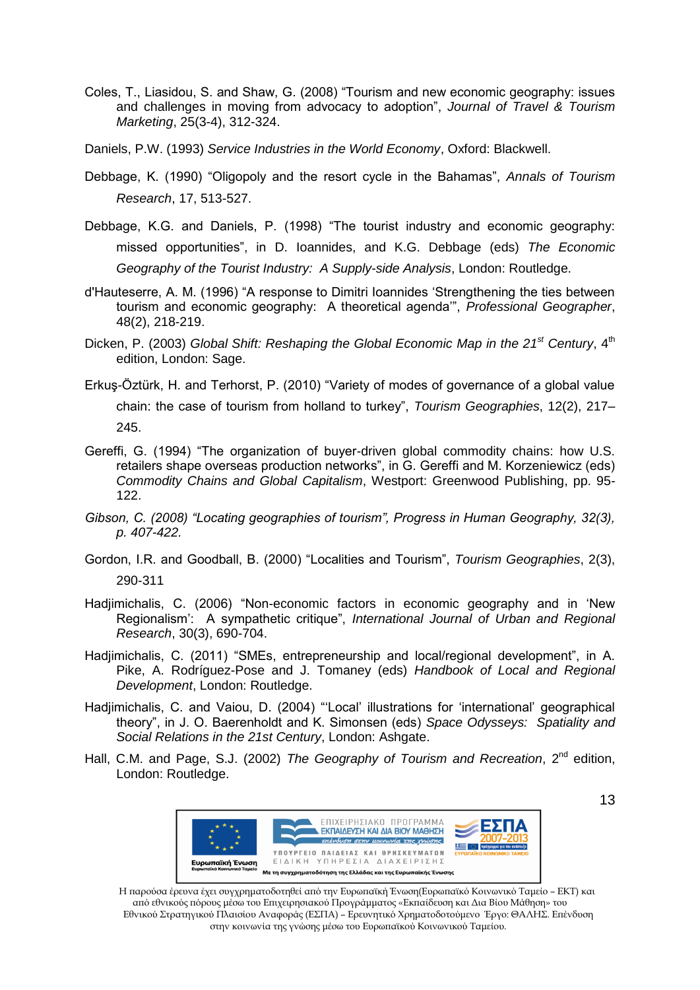- Coles, T., Liasidou, S. and Shaw, G. (2008) "Tourism and new economic geography: issues and challenges in moving from advocacy to adoption", *Journal of Travel & Tourism Marketing*, 25(3-4), 312-324.
- Daniels, P.W. (1993) *Service Industries in the World Economy*, Oxford: Blackwell.
- Debbage, K. (1990) "Oligopoly and the resort cycle in the Bahamas", *Annals of Tourism Research*, 17, 513-527.
- Debbage, K.G. and Daniels, P. (1998) "The tourist industry and economic geography: missed opportunities", in D. Ioannides, and K.G. Debbage (eds) *The Economic Geography of the Tourist Industry: A Supply-side Analysis*, London: Routledge.
- d'Hauteserre, A. M. (1996) "A response to Dimitri Ioannides 'Strengthening the ties between tourism and economic geography: A theoretical agenda'", *Professional Geographer*, 48(2), 218-219.
- Dicken, P. (2003) *Global Shift: Reshaping the Global Economic Map in the 21st Century*, 4th edition, London: Sage.
- Erkuş-Öztürk, H. and Terhorst, P. (2010) "Variety of modes of governance of a global value chain: the case of tourism from holland to turkey", *Tourism Geographies*, 12(2), 217– 245.
- Gereffi, G. (1994) "The organization of buyer-driven global commodity chains: how U.S. retailers shape overseas production networks", in G. Gereffi and M. Korzeniewicz (eds) *Commodity Chains and Global Capitalism*, Westport: Greenwood Publishing, pp. 95- 122.
- *Gibson, C. (2008) "Locating geographies of tourism", Progress in Human Geography, 32(3), p. 407-422.*
- Gordon, I.R. and Goodball, B. (2000) "Localities and Tourism", *Tourism Geographies*, 2(3), 290-311
- Hadjimichalis, C. (2006) "Non-economic factors in economic geography and in 'New Regionalism': A sympathetic critique", *International Journal of Urban and Regional Research*, 30(3), 690-704.
- Hadjimichalis, C. (2011) "SMEs, entrepreneurship and local/regional development", in Α. Pike, A. Rodríguez-Pose and J. Tomaney (eds) *Handbook of Local and Regional Development*, London: Routledge.
- Hadjimichalis, C. and Vaiou, D. (2004) "'Local' illustrations for 'international' geographical theory", in J. O. Baerenholdt and K. Simonsen (eds) *Space Odysseys: Spatiality and Social Relations in the 21st Century*, London: Ashgate.
- Hall, C.M. and Page, S.J. (2002) *The Geography of Tourism and Recreation*, 2nd edition, London: Routledge.



Η παρούσα έρευνα έχει συγχρηματοδοτηθεί από την Ευρωπαϊκή Ένωση(Ευρωπαϊκό Κοινωνικό Ταμείο – ΕΚΤ) και από εθνικούς πόρους μέσω του Επιχειρησιακού Προγράμματος «Εκπαίδευση και Δια Βίου Μάθηση» του Εθνικού Στρατηγικού Πλαισίου Αναφοράς (ΕΣΠΑ) – Ερευνητικό Χρηματοδοτούμενο Έργο: ΘΑΛΗΣ. Επένδυση στην κοινωνία της γνώσης μέσω του Ευρωπαϊκού Κοινωνικού Ταμείου.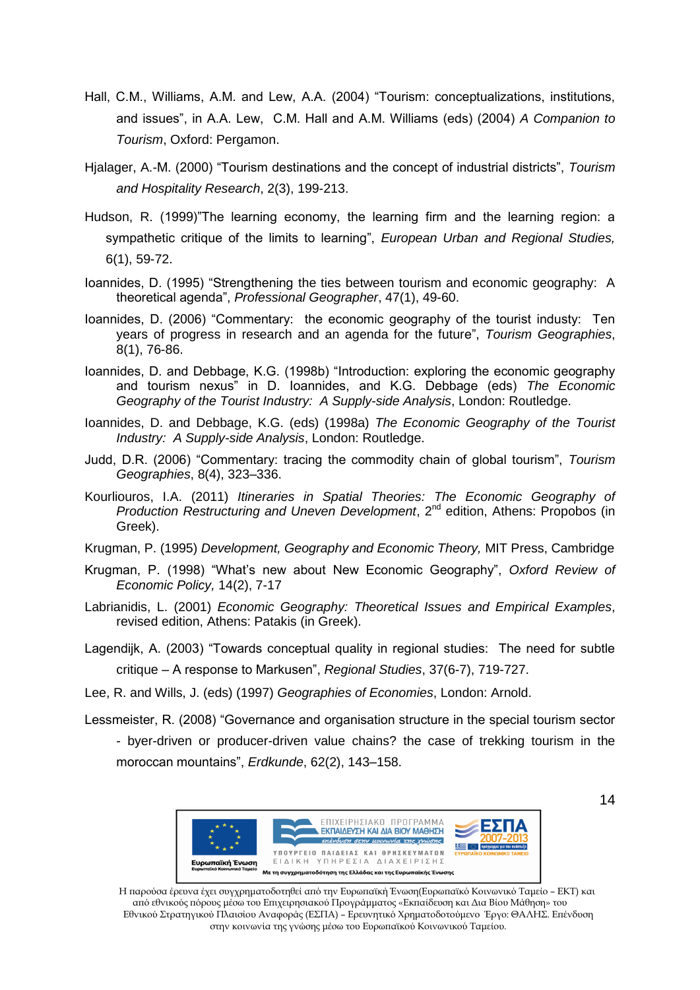- Hall, C.M., Williams, A.M. and Lew, A.A. (2004) "Tourism: conceptualizations, institutions, and issues", in A.A. Lew, C.M. Hall and A.M. Williams (eds) (2004) *A Companion to Tourism*, Oxford: Pergamon.
- Hjalager, A.-M. (2000) "Tourism destinations and the concept of industrial districts", *Tourism and Hospitality Research*, 2(3), 199-213.
- Hudson, R. (1999)"The learning economy, the learning firm and the learning region: a sympathetic critique of the limits to learning", *European Urban and Regional Studies,* 6(1), 59-72.
- Ioannides, D. (1995) "Strengthening the ties between tourism and economic geography: A theoretical agenda", *Professional Geographer*, 47(1), 49-60.
- Ioannides, D. (2006) "Commentary: the economic geography of the tourist industy: Ten years of progress in research and an agenda for the future", *Tourism Geographies*, 8(1), 76-86.
- Ioannides, D. and Debbage, K.G. (1998b) "Introduction: exploring the economic geography and tourism nexus" in D. Ioannides, and K.G. Debbage (eds) *The Economic Geography of the Tourist Industry: A Supply-side Analysis*, London: Routledge.
- Ioannides, D. and Debbage, K.G. (eds) (1998a) *The Economic Geography of the Tourist Industry: A Supply-side Analysis*, London: Routledge.
- Judd, D.R. (2006) "Commentary: tracing the commodity chain of global tourism", *Tourism Geographies*, 8(4), 323–336.
- Kourliouros, I.A. (2011) *Itineraries in Spatial Theories: The Economic Geography of Production Restructuring and Uneven Development*, 2<sup>nd</sup> edition, Athens: Propobos (in Greek).
- Krugman, P. (1995) *Development, Geography and Economic Theory,* MIT Press, Cambridge
- Krugman, P. (1998) "What's new about New Economic Geography", *Oxford Review of Economic Policy,* 14(2), 7-17
- Labrianidis, L. (2001) *Economic Geography: Theoretical Issues and Empirical Examples*, revised edition, Athens: Patakis (in Greek).
- Lagendijk, A. (2003) "Towards conceptual quality in regional studies: The need for subtle critique – A response to Markusen", *Regional Studies*, 37(6-7), 719-727.
- Lee, R. and Wills, J. (eds) (1997) *Geographies of Economies*, London: Arnold.
- Lessmeister, R. (2008) "Governance and organisation structure in the special tourism sector - byer-driven or producer-driven value chains? the case of trekking tourism in the moroccan mountains", *Erdkunde*, 62(2), 143–158.



Η παρούσα έρευνα έχει συγχρηματοδοτηθεί από την Ευρωπαϊκή Ένωση(Ευρωπαϊκό Κοινωνικό Ταμείο – ΕΚΤ) και από εθνικούς πόρους μέσω του Επιχειρησιακού Προγράμματος «Εκπαίδευση και Δια Βίου Μάθηση» του Εθνικού Στρατηγικού Πλαισίου Αναφοράς (ΕΣΠΑ) – Ερευνητικό Χρηματοδοτούμενο Έργο: ΘΑΛΗΣ. Επένδυση στην κοινωνία της γνώσης μέσω του Ευρωπαϊκού Κοινωνικού Ταμείου.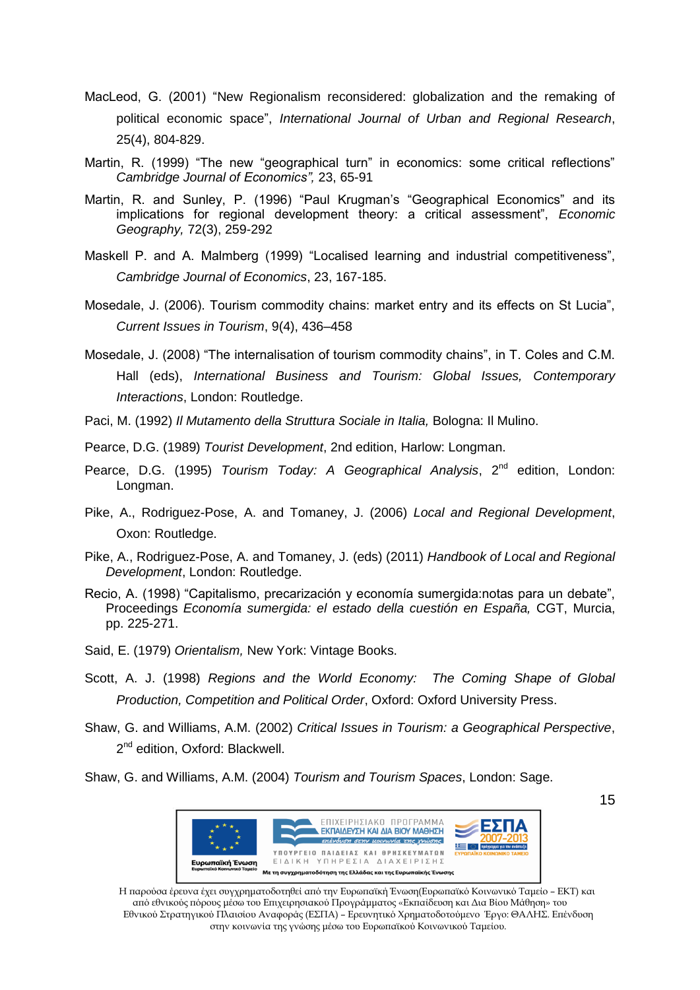- MacLeod, G. (2001) "New Regionalism reconsidered: globalization and the remaking of political economic space", *International Journal of Urban and Regional Research*, 25(4), 804-829.
- Martin, R. (1999) "The new "geographical turn" in economics: some critical reflections" *Cambridge Journal of Economics",* 23, 65-91
- Martin, R. and Sunley, P. (1996) "Paul Krugman's "Geographical Economics" and its implications for regional development theory: a critical assessment", *Economic Geography,* 72(3), 259-292
- Maskell P. and A. Malmberg (1999) "Localised learning and industrial competitiveness", *Cambridge Journal of Economics*, 23, 167-185.
- Mosedale, J. (2006). Tourism commodity chains: market entry and its effects on St Lucia", *Current Issues in Tourism*, 9(4), 436–458
- Mosedale, J. (2008) "The internalisation of tourism commodity chains", in T. Coles and C.M. Hall (eds), *International Business and Tourism: Global Issues, Contemporary Interactions*, London: Routledge.
- Paci, M. (1992) *Il Mutamento della Struttura Sociale in Italia,* Bologna: Il Mulino.
- Pearce, D.G. (1989) *Tourist Development*, 2nd edition, Harlow: Longman.
- Pearce, D.G. (1995) *Tourism Today: A Geographical Analysis*, 2<sup>nd</sup> edition, London: Longman.
- Pike, A., Rodriguez-Pose, A. and Tomaney, J. (2006) *Local and Regional Development*, Oxon: Routledge.
- Pike, A., Rodriguez-Pose, A. and Tomaney, J. (eds) (2011) *Handbook of Local and Regional Development*, London: Routledge.
- Recio, A. (1998) "Capitalismo, precarización y economía sumergida:notas para un debate", Proceedings *Economía sumergida: el estado della cuestión en España,* CGT, Murcia, pp. 225-271.
- Said, E. (1979) *Orientalism,* New York: Vintage Books.
- Scott, A. J. (1998) *Regions and the World Economy: The Coming Shape of Global Production, Competition and Political Order*, Oxford: Oxford University Press.
- Shaw, G. and Williams, A.M. (2002) *Critical Issues in Tourism: a Geographical Perspective*, 2<sup>nd</sup> edition, Oxford: Blackwell.
- Shaw, G. and Williams, A.M. (2004) *Tourism and Tourism Spaces*, London: Sage.



Η παρούσα έρευνα έχει συγχρηματοδοτηθεί από την Ευρωπαϊκή Ένωση(Ευρωπαϊκό Κοινωνικό Ταμείο – ΕΚΤ) και από εθνικούς πόρους μέσω του Επιχειρησιακού Προγράμματος «Εκπαίδευση και Δια Βίου Μάθηση» του Εθνικού Στρατηγικού Πλαισίου Αναφοράς (ΕΣΠΑ) – Ερευνητικό Χρηματοδοτούμενο Έργο: ΘΑΛΗΣ. Επένδυση στην κοινωνία της γνώσης μέσω του Ευρωπαϊκού Κοινωνικού Ταμείου.